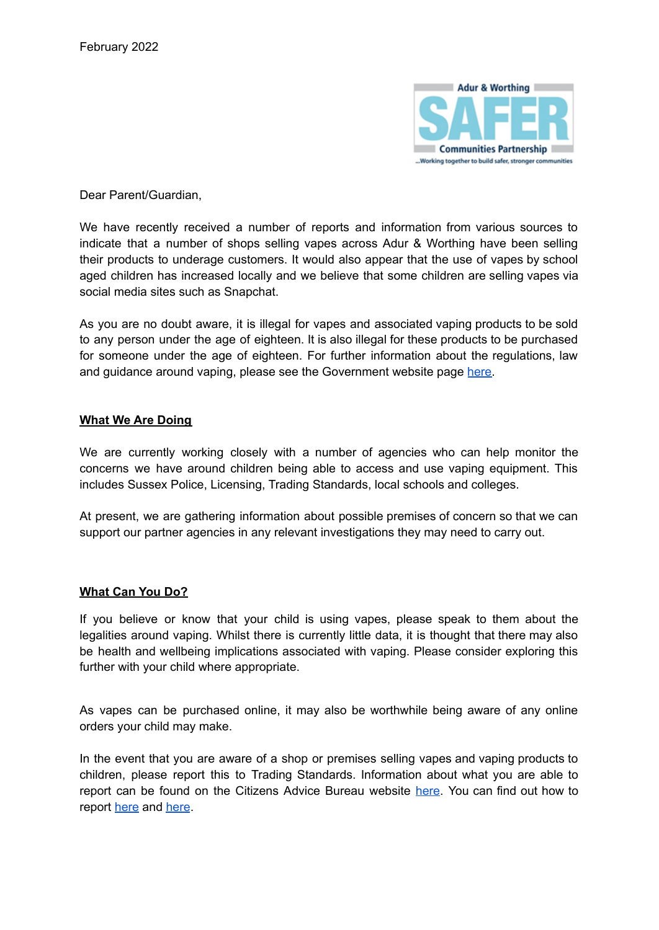

Dear Parent/Guardian,

We have recently received a number of reports and information from various sources to indicate that a number of shops selling vapes across Adur & Worthing have been selling their products to underage customers. It would also appear that the use of vapes by school aged children has increased locally and we believe that some children are selling vapes via social media sites such as Snapchat.

As you are no doubt aware, it is illegal for vapes and associated vaping products to be sold to any person under the age of eighteen. It is also illegal for these products to be purchased for someone under the age of eighteen. For further information about the regulations, law and guidance around vaping, please see the Government website page [here.](https://www.gov.uk/government/collections/e-cigarettes-and-vaping-policy-regulation-and-guidance)

## **What We Are Doing**

We are currently working closely with a number of agencies who can help monitor the concerns we have around children being able to access and use vaping equipment. This includes Sussex Police, Licensing, Trading Standards, local schools and colleges.

At present, we are gathering information about possible premises of concern so that we can support our partner agencies in any relevant investigations they may need to carry out.

## **What Can You Do?**

If you believe or know that your child is using vapes, please speak to them about the legalities around vaping. Whilst there is currently little data, it is thought that there may also be health and wellbeing implications associated with vaping. Please consider exploring this further with your child where appropriate.

As vapes can be purchased online, it may also be worthwhile being aware of any online orders your child may make.

In the event that you are aware of a shop or premises selling vapes and vaping products to children, please report this to Trading Standards. Information about what you are able to report can be found on the Citizens Advice Bureau website [here](https://www.citizensadvice.org.uk/consumer/get-more-help/report-to-trading-standards/). You can find out how to report [here](https://www.westsussex.gov.uk/business-and-consumers/trading-standards-information-for-consumers/) and [here](https://www.adur-worthing.gov.uk/licensing-and-permits/report-a-problem/).